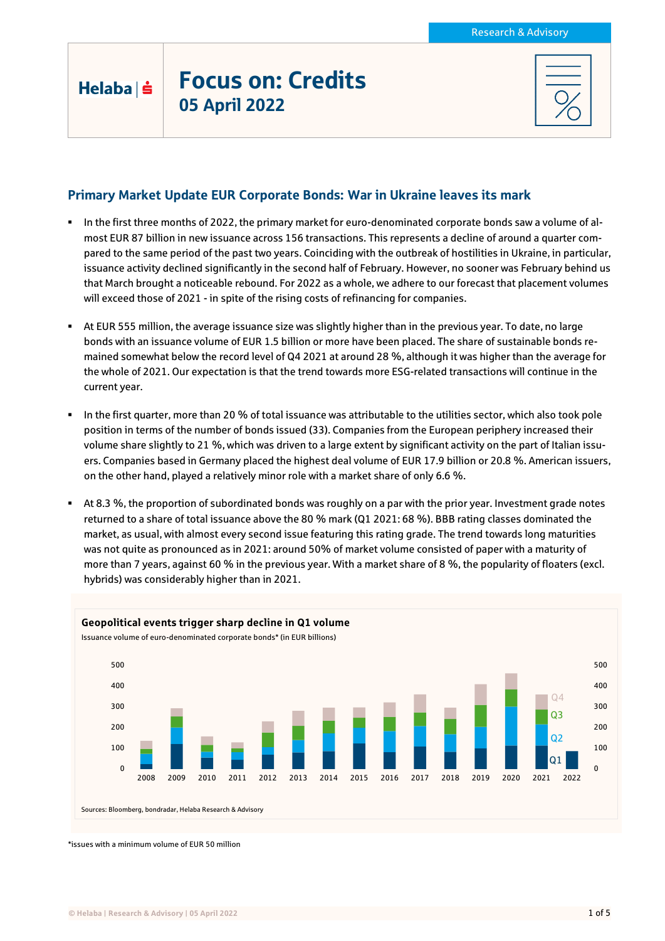## Focus on: Credits 05 April 2022

Helaba | s

## Primary Market Update EUR Corporate Bonds: War in Ukraine leaves its mark

- In the first three months of 2022, the primary market for euro-denominated corporate bonds saw a volume of almost EUR 87 billion in new issuance across 156 transactions. This represents a decline of around a quarter compared to the same period of the past two years. Coinciding with the outbreak of hostilities in Ukraine, in particular, issuance activity declined significantly in the second half of February. However, no sooner was February behind us that March brought a noticeable rebound. For 2022 as a whole, we adhere to our forecast that placement volumes will exceed those of 2021 - in spite of the rising costs of refinancing for companies.
- At EUR 555 million, the average issuance size was slightly higher than in the previous year. To date, no large bonds with an issuance volume of EUR 1.5 billion or more have been placed. The share of sustainable bonds remained somewhat below the record level of Q4 2021 at around 28 %, although it was higher than the average for the whole of 2021. Our expectation is that the trend towards more ESG-related transactions will continue in the current year.
- In the first quarter, more than 20 % of total issuance was attributable to the utilities sector, which also took pole position in terms of the number of bonds issued (33). Companies from the European periphery increased their volume share slightly to 21 %, which was driven to a large extent by significant activity on the part of Italian issuers. Companies based in Germany placed the highest deal volume of EUR 17.9 billion or 20.8 %. American issuers, on the other hand, played a relatively minor role with a market share of only 6.6 %.
- At 8.3 %, the proportion of subordinated bonds was roughly on a par with the prior year. Investment grade notes returned to a share of total issuance above the 80 % mark (Q1 2021: 68 %). BBB rating classes dominated the market, as usual, with almost every second issue featuring this rating grade. The trend towards long maturities was not quite as pronounced as in 2021: around 50% of market volume consisted of paper with a maturity of more than 7 years, against 60 % in the previous year. With a market share of 8 %, the popularity of floaters (excl. hybrids) was considerably higher than in 2021.



\*issues with a minimum volume of EUR 50 million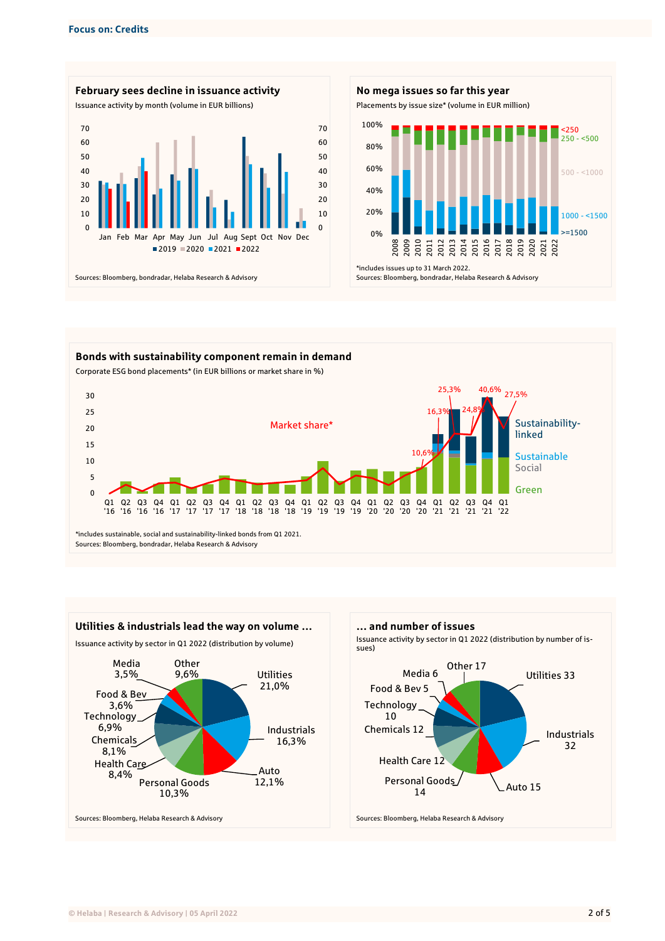







2014 2015 2016 2017 2018 2019

2020 2021 2022

 $250$  $250 - 500$ 

 $500 - 1000$ 

 $1000 - 1500$ >=1500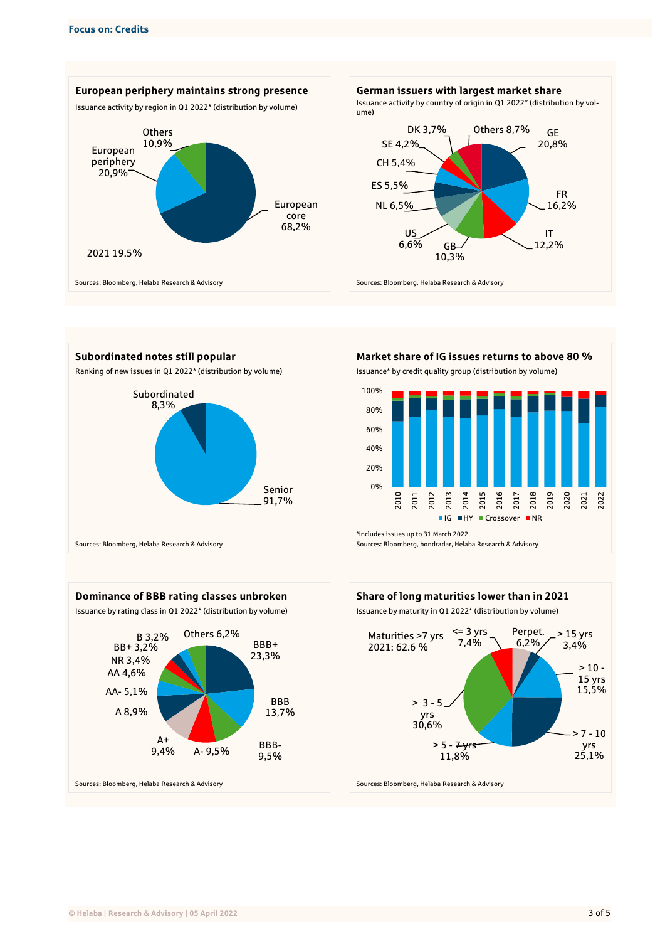









Sources: Bloomberg, bondradar, Helaba Research & Advisory





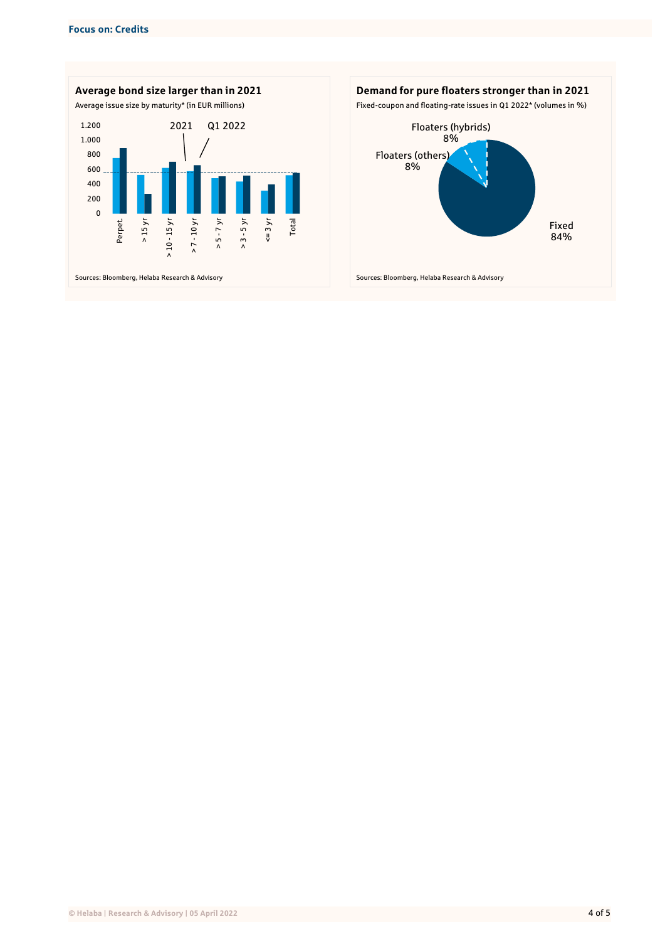